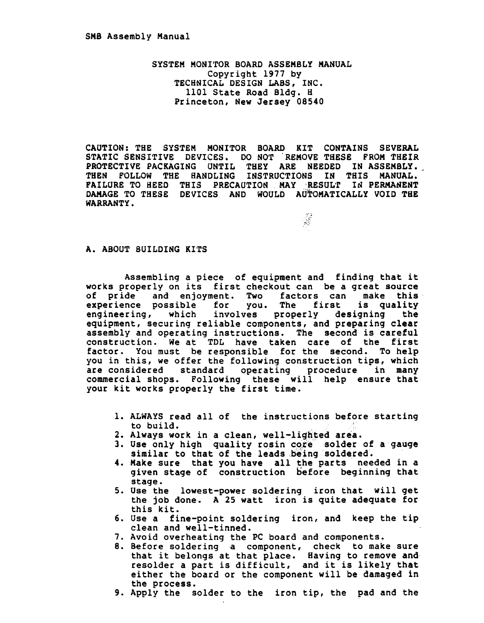SYSTEM MONITOR BOARD ASSEMBLY MANUAL Copyright 1977 by TECHNICAL DESIGN LABS, INC. 1101 State Road Bldg. H Princeton, New Jersey 08540

CAUTION: THE SYSTEM MONITOR BOARD KIT CONTAINS SEVERAL STATIC SENSITIVE DEVICES. DO NOT 'REMOVE THESE FROM THEIR PROTECTIVE PACKAGING UNTIL THEY ARE NEEDED IN ASSEMBLY. THEN FOLLOW THE HANDLING INSTRUCTIONS IN THIS MANUAL. FAILURE TO HEED THIS PRECAUTION MAY RESULT IN PERMANENT DAMAGE TO THESE DEVICES AND WOULD AUTOMATICALLY VOID THE WARRANTY. WARRANTY. WE ARRAIGN A SERVE TO A CONTROL OF THE SERVE TO A CONTROL OF THE SERVE TO A CONTROL OF THE SERVE TO

#### A. ABOUT BUILDING KITS

Assembling a piece of equipment and finding that it works properly on its first checkout can be a great source<br>of pride and enjoyment. Two factors can make this of pride and enjoyment. Two factors can make this<br>experience possible for you. The first is quality experience possible for you. The first engineering, which involves properly designing the equipment, securing reliable components, and preparing clear assembly and operating instructions. The second is careful construction. We at TDL have taken care of the first factor. You must be responsible for the second. To help you in this, we offer the following construction tips, which are considered standard operating procedure in many commercial shops. Following these will help ensure that your kit works properly the first time.

- 1. ALWAYS read all of the instructions before starting<br>to build.
- 2. Always work in a clean, well-lighted area.
- 3. Use only high quality rosin core solder of a gauge similar to that of the leads being soldered.
- 4. Make sure that you have all the parts needed in a given stage of construction before beginning that stage.
- 5. Use the lowest-power soldering iron that will get the job done. A 25 watt iron is quite adequate for this kit.
- 6. Use a fine-point soldering iron, and keep the tip clean and well-tinned.
- 7. Avoid overheating the PC board and components.
- 8. Before soldering a component, check to make sure before soldering a component, check to make sure<br>that it belongs at that place. Having to remove and resolder a part is difficult, and it is likely that either the board or the component will be damaged in the process.
- 9. Apply the solder to the iron tip, the pad and the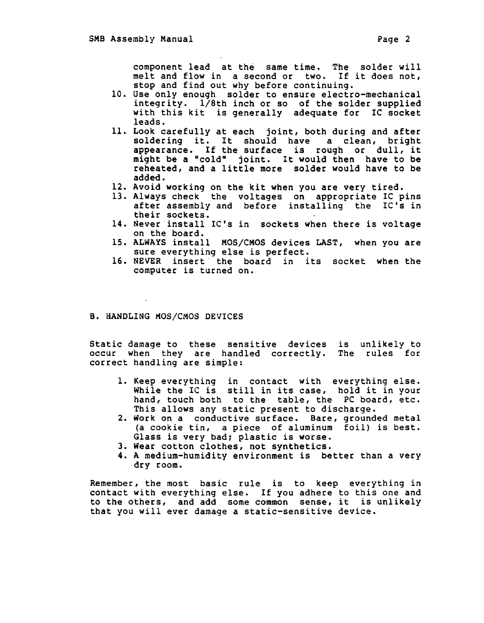component lead at the same time. The solder will melt and flow in a second or two. If it does not, stop and find out why before continuing.

- 10. Use only enough solder to ensure electro-mechanical integrity. l/8th inch or so of the solder supplied with this kit is generally adequate for IC socket leads.
- 11. Look carefully at each joint, both during and after soldering it. It should have a clean, bright appearance. If the surface is rough or dull, it might be a "cold" joint. It would then have to be reheated, and a little more solder would have to be added.
- 12. Avoid working on the kit when you are very tired.
- 13. Always check the voltages on appropriate IC pins after assembly and before installing the IC's in their sockets.
- 14. Never install IC's in sockets when there is voltage on the board.
- 15. ALWAYS install MOS/CMOS devices LAST, when you are sure everything else is perfect.
- 16. NEVER insert the board in its socket when the computer is turned on.

#### B. HANDLING MOS/CMOS DEVICES

Static damage to these sensitive devices is unlikely to occur when they are handled correctly. The rules for correct handling are simple:

- 1. Keep everything in contact with everything else. while the IC is still in its case, hold it in your hand, touch both to the table, the PC board, etc. This allows any static present to discharge.
- 2. Work on a conductive surface. Bare, grounded metal (a cookie tin, a piece of aluminum foil) is best. Glass is very bad; plastic is worse.
- 3. Wear cotton clothes, not synthetics.
- 4. A medium-humidity environment is better than a very dry room.

Remember, the most basic rule is to keep everything in contact with everything else. If you adhere to this one and to the others, and add some common sense, it is unlikely that you will ever damage a static-sensitive device.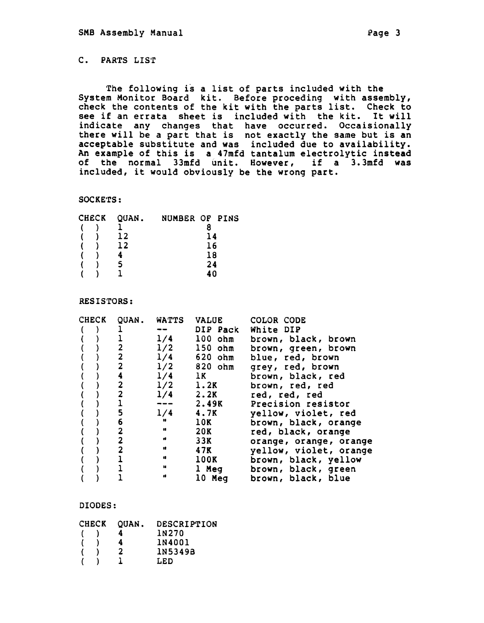The following is a list of parts included with the System Monitor Board kit. Before proceding with assembly, system nonitor board kit. Before proceding with assembly,<br>check the contents of the kit with the parts list. Check to see if an errata sheet is included with the kit. It will indicate any changes that have occurred. Occaisionally there will be a part that is not exactly the same but is an acceptable substitute and was included due to availability. An example of this is a 47mfd tantalum electrolytic instead of the normal 33mfd unit. However, if a 3.3mfd was included, it would obviously be the wrong part.

### SOCKETS:

| <b>CHECK</b> |  | QUAN. | NUMBER OF PINS |    |  |
|--------------|--|-------|----------------|----|--|
|              |  |       |                |    |  |
|              |  | 12    |                | 14 |  |
|              |  | 12    |                | 16 |  |
|              |  |       |                | 18 |  |
|              |  |       |                | 24 |  |
|              |  |       |                | 40 |  |

### RESISTORS:

| <b>CHECK</b> | QUAN.                   | <b>WATTS VALUE</b> |             | COLOR CODE             |
|--------------|-------------------------|--------------------|-------------|------------------------|
|              |                         |                    | DIP Pack    | White DIP              |
|              |                         | 1/4                | $100$ $ohm$ | brown, black, brown    |
|              | 2                       | 1/2                | $150$ $ohm$ | brown, green, brown    |
|              | $\overline{\mathbf{2}}$ | 1/4                | 620 ohm     | blue, red, brown       |
|              | $\overline{2}$          | 1/2                | $820$ ohm   | grey, red, brown       |
|              | 4                       | 1/4                | 1K          | brown, black, red      |
|              | 2                       | 1/2                | 1.2K        | brown, red, red        |
|              | $\overline{\mathbf{c}}$ | 1/4                | 2.2K        | red, red, red          |
|              |                         |                    | 2.49K       | Precision resistor     |
|              | 5                       | 1/4                | <b>4.7K</b> | yellow, violet, red    |
|              | 6                       | $\mathbf{u}$       | 10K         | brown, black, orange   |
|              | $\overline{2}$          | $\mathbf{u}$       | 20K         | red, black, orange     |
|              | $\mathbf{2}$            | $\mathbf{r}$       | 33K         | orange, orange, orange |
|              | $\overline{\mathbf{2}}$ | $\mathbf{u}$       | 47K         | yellow, violet, orange |
|              |                         | $\mathbf{u}$       | 100K        | brown, black, yellow   |
|              |                         | $\mathbf{u}$       | 1 Meg       | brown, black, green    |
|              |                         | $\bullet$          | 10 Meg      | brown, black, blue     |

#### DIODES:

| CHECK | <b>OUAN.</b> | <b>DESCRIPTION</b> |
|-------|--------------|--------------------|
|       | Δ.           | 1N270              |
|       | 4            | 1N4001             |
|       | 2            | 1N5349B            |
|       |              | LED                |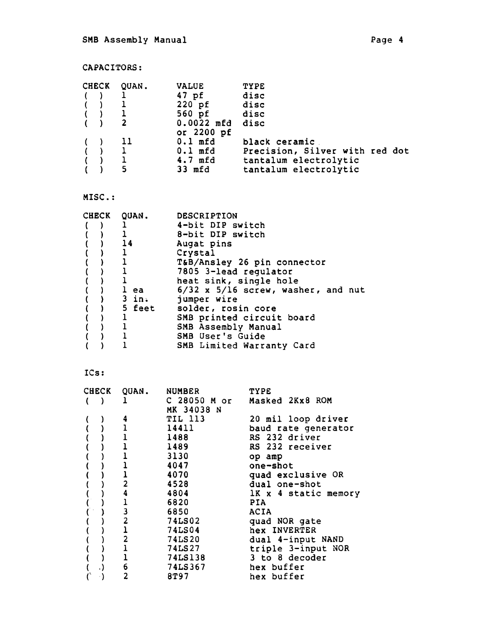# CAPACITORS:

|          | CHECK QUAN.             | <b>VALUE</b> | <b>TYPE</b>                    |
|----------|-------------------------|--------------|--------------------------------|
| $($ $)$  |                         | 47 pf        | disc                           |
| $($ )    | $\mathbf{1}$            | 220 pf       | disc                           |
|          | ( ) 1                   | 560 pf disc  |                                |
|          | $\overline{\mathbf{2}}$ | $0.0022$ mfd | disc                           |
|          |                         | or 2200 pf   |                                |
| $\left($ | -11                     | 0.1 mfd      | black ceramic                  |
| ( ) 1    |                         | $0.1$ mfd    | Precision, Silver with red dot |
|          | $\mathbf{1}$            | 4.7 mfd      | tantalum electrolytic          |
|          | 5                       | 33 mfd       | tantalum electrolytic          |

## MISC.:

|  | CHECK QUAN.    | <b>DESCRIPTION</b>                     |
|--|----------------|----------------------------------------|
|  |                | 4-bit DIP switch                       |
|  |                | 8-bit DIP switch                       |
|  | $\frac{14}{1}$ | Augat pins                             |
|  |                | Crystal                                |
|  |                | T&B/Ansley 26 pin connector            |
|  |                | 7805 3-lead regulator                  |
|  |                | heat sink, single hole                 |
|  | l ea           | $6/32$ x $5/16$ screw, washer, and nut |
|  | $)$ 3 in.      | jumper wire                            |
|  | ) 5 feet       | solder, rosin core                     |
|  |                | SMB printed circuit board              |
|  |                | SMB Assembly Manual                    |
|  |                | SMB User's Guide                       |
|  |                | SMB Limited Warranty Card              |

## !Cs:

| <b>CHECK</b> | QUAN.                   | <b>NUMBER</b>              | <b>TYPE</b>          |
|--------------|-------------------------|----------------------------|----------------------|
|              | 1                       | C 28050 M or<br>MK 34038 N | Masked 2Kx8 ROM      |
|              | 4                       | TIL 113                    | 20 mil loop driver   |
|              |                         | 14411                      | baud rate generator  |
|              |                         | 1488                       | RS 232 driver        |
|              |                         | 1489                       | RS 232 receiver      |
|              |                         | 3130                       | op amp               |
|              |                         | 4047                       | one-shot             |
|              |                         | 4070                       | quad exclusive OR    |
|              | $\overline{2}$          | 4528                       | dual one-shot        |
|              | 4                       | 4804                       | 1K x 4 static memory |
|              |                         | 6820                       | PIA.                 |
|              | 3                       | 6850                       | <b>ACIA</b>          |
|              | $\overline{\mathbf{c}}$ | 74LS02                     | quad NOR gate        |
|              | $\overline{1}$          | <b>74LS04</b>              | hex INVERTER         |
|              | $\overline{\mathbf{2}}$ | 74LS20                     | dual 4-input NAND    |
|              |                         | <b>74LS27</b>              | triple 3-input NOR   |
|              |                         | 74LS138                    | 3 to 8 decoder       |
| . )          | $\frac{6}{2}$           | 74LS367                    | hex buffer           |
|              |                         | 8T97                       | hex buffer           |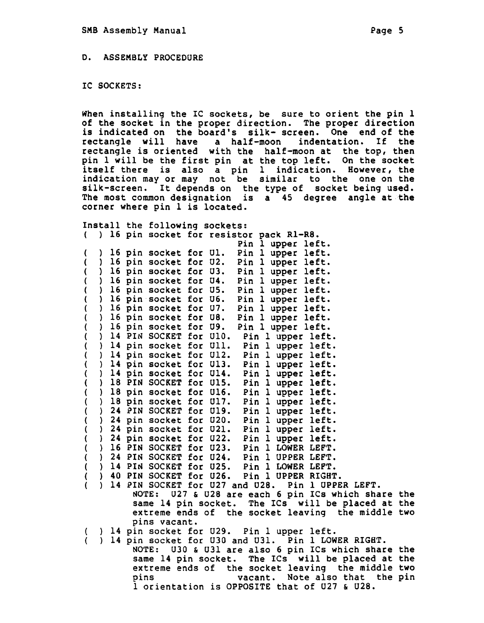IC SOCKETS:

When installing the IC sockets, be sure to orient the pin 1 of the socket in the proper direction. The proper direction is indicated on the board's silk- screen. One end of the rectangle will have a half-moon indentation. If the rectangle will have a half-moon indentation. rectangle is oriented with the half-moon at the top, then<br>pin 1 will be the first pin at the top left. On the socket pin 1 will be the first pin at the top left. itself there is also a pin 1 indication. However, the indication may or may not be similar to the one on the silk-screen. It depends on the type of socket being used. The most common designation is a 45 degree angle at the corner where pin 1 is located.

Install the following sockets: ( ) 16 pin socket for resistor pack Rl-R8.

| ۰. | , |    | <b>PAIL</b> | っついいこ                 |     | TESTSCAT | yach ni no.                                  |  |
|----|---|----|-------------|-----------------------|-----|----------|----------------------------------------------|--|
|    |   |    |             |                       |     |          | Pin<br>left.<br>ı<br>upper                   |  |
| (  |   | 16 |             | pin socket for Ul.    |     |          | Pin<br>upper left.<br>$\mathbf{1}$           |  |
| (  |   | 16 |             | pin socket for        |     | U2.      | left.<br>Pin<br>$\mathbf{1}$<br>upper        |  |
| (  |   | 16 |             | pin socket for U3.    |     |          | Pin<br>upper left.<br>$\mathbf{1}$           |  |
| (  |   | 16 |             | pin socket for U4.    |     |          | Pin<br>left.<br>$\mathbf{1}$<br>upper        |  |
|    |   | 16 |             | pin socket for        |     | U5.      | Pin<br>left.<br>$\mathbf{1}$<br>upper        |  |
|    |   | 16 |             | pin socket            | for | U6.      | Pin<br>left.<br>$\mathbf{1}$<br>upper        |  |
|    |   | 16 |             | pin socket            | for | U7.      | $\mathbf{1}$<br>left.<br>Pin<br>upper        |  |
|    |   | 16 |             | pin socket for U8.    |     |          | Pin<br>upper left.<br>$\mathbf{1}$           |  |
| ι  |   |    |             | 16 pin socket for U9. |     |          | Pin 1<br>upper left.                         |  |
| U  |   | 14 | PIN         | SOCKET for            |     | U10.     | left.<br>Pin<br>$\mathbf{I}$<br>upper        |  |
|    |   | 14 |             | pin socket            | for | U11.     | left.<br>Pin<br>1<br>upper                   |  |
|    |   | 14 |             | pin socket            | for | U12.     | left.<br>Pin<br>1<br>upper                   |  |
|    |   | 14 |             | pin socket            | for | U13.     | left.<br>Pin<br>l upper                      |  |
|    |   | 14 |             | pin socket            | for | U14.     | left.<br>l upper<br>Pin                      |  |
| t  |   | 18 |             | PIN SOCKET for        |     | U15.     | left.<br>Pin<br>l upper                      |  |
| (  |   | 18 | pin         | socket                | for | U16.     | left.<br>Pin<br>$\mathbf 1$<br>upper         |  |
|    |   | 18 |             | pin socket            | for | U17.     | left.<br>Pin<br>$\mathbf{1}$<br>upper        |  |
|    |   | 24 | PIN         | <b>SOCKET</b>         | for | U19.     | left.<br>$\mathbf 1$<br>Pin<br>upper         |  |
|    |   | 24 | pin         | socket                | for | U20.     | left.<br>Pin<br>$\mathbf{1}$<br>upper        |  |
|    |   | 24 | pin         | socket                | for | U21.     | 1<br>left.<br>Pin<br>upper                   |  |
|    |   | 24 | pin         | socket                | for | U22.     | left.<br>1<br>Pin<br>upper                   |  |
|    |   | 16 | PIN         | <b>SOCKET</b>         | for | U23.     | 1<br>LEFT.<br>Pin<br><b>LOWER</b>            |  |
|    |   | 24 | PIN         | <b>SOCKET</b>         | for | U24.     | $\mathbf 1$<br><b>UPPER</b><br>Pin<br>LEFT.  |  |
|    |   | 14 | PIN         | <b>SOCKET</b>         | for | U25.     | 1<br><b>LOWER</b><br>LEFT.<br>Pin            |  |
|    |   | 40 | PIN         | <b>SOCKET</b>         | for | U26.     | $\mathbf 1$<br><b>UPPER</b><br>RIGHT.<br>Pin |  |
|    |   |    |             |                       |     |          |                                              |  |

( ) 14 PIN SOCKET for U27 and U28. Pin 1 UPPER LEFT. ~OTE: U27 & U28 are each 6 pin ICs which share the same 14 pin socket. The ICs will be placed at the extreme ends of the socket leaving the middle two pins vacant.

14 pin socket for U29. Pin 1 upper left.

) 14 pin socket for U30 and U31. Pin 1 LOWER RIGHT. NOTE: U30 & U31 are also 6 pin ICs which share the same 14 pin socket. The ICs will be placed at the extreme ends of the socket leaving the middle two pins vacant. Note also that the pin 1 orientation is OPPOSITE that of U27 & U28.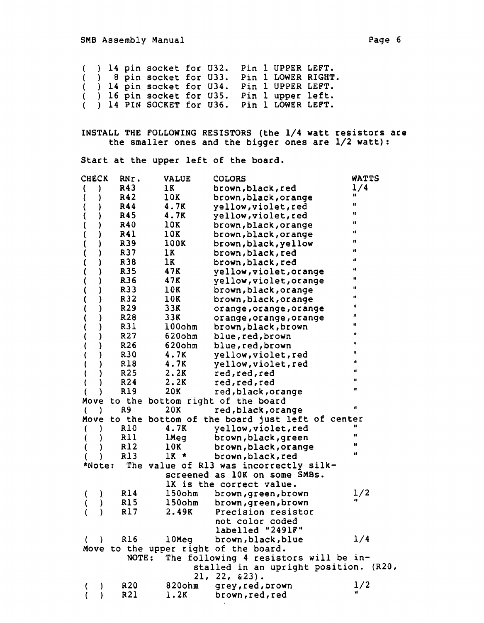pin socket for U32. Pin 1 UPPER LEFT. pin socket for U33. Pin 1 LOWER RIGHT. pin socket for U34. Pin 1 UPPER LEFT. pin socket for U35. Pin 1 upper left. 14 PIN SOCKET for U36. Pin 1 LOWER LEFT.

INSTALL THE FOLLOWING RESISTORS (the 1/4 watt resistors are the smaller ones and the bigger ones are 1/2 watt) :

Start at the upper left of the board.

| <b>CHECK</b>                     | RNr.            | <b>VALUE</b> | <b>COLORS</b>                                                                  | WATTS                |
|----------------------------------|-----------------|--------------|--------------------------------------------------------------------------------|----------------------|
| )<br>t                           | R43             | 1K           | brown, black, red                                                              | 1/4                  |
| €<br>)                           | R42             | 10K          | brown, black, orange                                                           | n                    |
| (                                | R44             | 4.7K         | yellow, violet, red                                                            | Ħ                    |
|                                  | R45             | 4.7K         | yellow, violet, red                                                            | u                    |
| )                                | R40             | 10K          | brown, black, orange                                                           | $\blacksquare$       |
| )                                | <b>R41</b>      | 10K          | brown, black, orange                                                           | 1Î                   |
| )                                | R39             | 100K         | brown, black, yellow                                                           | п                    |
| )                                | R37             | 1K           | brown, black, red                                                              | w                    |
| )<br>$\mathcal{L}_{\mathcal{A}}$ | R38             | 1K           | brown, black, red                                                              | 10                   |
| )                                | R35             | 47K          | yellow, violet, orange                                                         | H                    |
| )                                | R36             | 47K          | yellow, violet, orange                                                         | H                    |
| )                                | R33             | 10K          | brown, black, orange                                                           | u                    |
| )                                | R32             | 10K          | brown, black, orange                                                           | H                    |
|                                  | R29             | 33K          | orange, orange, orange                                                         | п                    |
|                                  | R28             | 33K          | orange, orange, orange                                                         | $\pmb{\mathfrak{g}}$ |
| )                                | R31             | 100ohm       | brown, black, brown                                                            | n                    |
|                                  | R <sub>27</sub> | 620ohm       | blue, red, brown                                                               | Ħ                    |
|                                  | R26             | $620$ ohm    | blue, red, brown                                                               | и                    |
|                                  | R30             | 4.7K         | yellow, violet, red                                                            | $\mathbf{u}$         |
|                                  | R18             | 4.7K         | yellow, violet, red                                                            | u                    |
| )                                | R25             | 2.2K         | red, red, red                                                                  | $\blacksquare$       |
|                                  | R24             | 2.2K         | red, red, red                                                                  | $\blacksquare$       |
| }                                | R19             | 20K          | red, black, orange                                                             | Ħ                    |
| Move                             |                 |              | to the bottom right of the board                                               |                      |
| €<br><sup>)</sup>                | R9              | 20K          | red, black, orange                                                             | d                    |
| Move                             |                 |              | to the bottom of the board just left of center                                 |                      |
| 1<br>€                           | R10             | 4.7K         | yellow, violet, red                                                            |                      |
|                                  | R11             | lMeg         | brown, black, green                                                            | $\mathbf{u}$         |
|                                  | R12             | 10K          | brown, black, orange                                                           | u                    |
|                                  | R13             | $1K$ *       | brown, black, red                                                              | $\mathbf{u}$         |
| *Note:                           |                 |              | The value of R13 was incorrectly silk-                                         |                      |
|                                  |                 |              | screened as 10K on some SMBs.                                                  |                      |
|                                  |                 |              | IK is the correct value.                                                       |                      |
| )                                | R14             | $150$ ohm    | brown, green, brown                                                            | 1/2                  |
|                                  | <b>R15</b>      | $150$ ohm    | brown, green, brown                                                            |                      |
|                                  | <b>R17</b>      | 2.49K        | Precision resistor                                                             |                      |
|                                  |                 |              | not color coded                                                                |                      |
|                                  |                 |              | labelled "2491F"                                                               |                      |
| $\rightarrow$                    | R16             | $10$ Meq     | brown, black, blue                                                             | 1/4                  |
| $\left($                         |                 |              |                                                                                |                      |
|                                  | NOTE:           |              | Move to the upper right of the board.<br>The following 4 resistors will be in- |                      |
|                                  |                 |              |                                                                                |                      |
|                                  |                 |              | stalled in an upright position. (R20,<br>$21, 22, 23$ .                        |                      |
|                                  |                 |              |                                                                                |                      |
|                                  | R <sub>20</sub> | 820ohm       | grey, red, brown                                                               | 1/2                  |
|                                  | R21             | 1.2K         | brown, red, red                                                                |                      |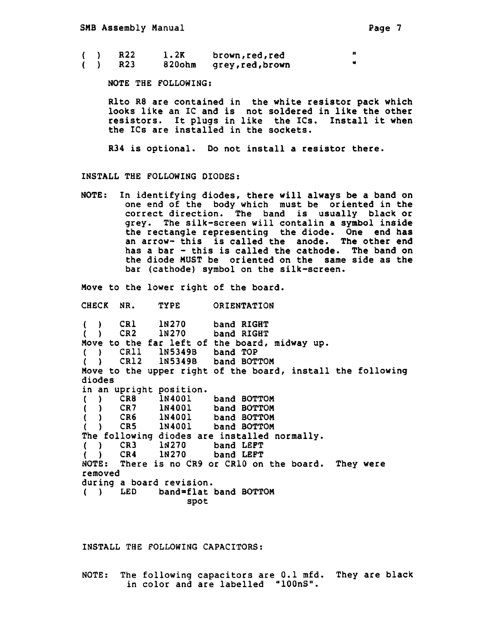|  | R22 | 1.2K | brown, red, red       |  |
|--|-----|------|-----------------------|--|
|  | R23 |      | 820ohm grey,red,brown |  |

NOTE THE FOLLOWING:

Rlto R8 are contained in the white resistor pack which looks like an IC and is not soldered in like the other resistors. It plugs in like the ICs. Install it when the ICs are installed in the sockets.

R34 is optional. Do not install a resistor there.

INSTALL THE FOLLOWING DIODES:

NOTE: In identifying diodes, there will always be a band on one end of the body which must be oriented in the correct direction. The band is usually black or grey. The silk-screen will contalin a symbol inside the rectangle representing the diode. One end has an arrow- this is called the anode. The other end has a bar - this is called the cathode. The band on the diode MUST be oriented on the same side as the bar (cathode) symbol on the silk-screen.

Move to the lower right of the board.

CHECK NR. TYPE ORIENTATION

 $( )$  CR1  $( )$  CR2 1N270 1N270 band RIGHT band RIGHT Nove to the far left of the board, midway up. band TOP 1N5349B band BOTTOM 1N5349B ( ) CRll ( ) CR12 Move to the upper right of the board, install the following diodes in an upright position.<br>( ) CR8 1N4001 ( ) CR8 1N4001 band BOTTOM<br>( ) CR7 1N4001 band BOTTOM ( ) CR7 1N4001 band BOTTOM<br>( ) CR6 1N4001 band BOTTOM ) CR6 1N4001 band BOTTOM<br>) CR5 1N4001 band BOTTOM ( ) CRS 1N4001 band BOTTOM The following diodes are installed normally.<br>( ) CR3 1N270 band LEFT ( ) CR3 1N270 band LEFT<br>( ) CR4 1N270 band LEFT ( ) CR4 1N270 band LEFT NOTE: There is no CR9 or CRlO on the board. They were removed during a board revision. ( ) LED band=flat band BOTTOM spot

INSTALL THE FOLLOWING CAPACITORS:

NOTE: The following capacitors are 0.1 mfd. They are black in color and are labelled "100nS".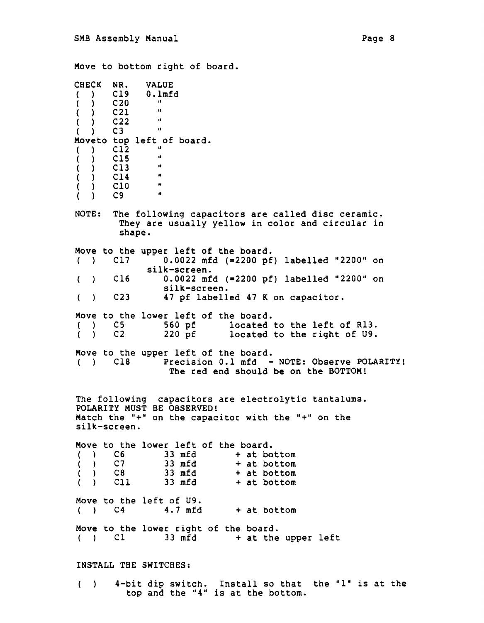Move to bottom right of board. CHECK NR. VALUE<br>( ) C19 0.1mf ( ) Cl9 O.lmfd  $( )$  C20  $, \frac{1}{2}$  $( )$  C21 "  $( )$  C22  $'$  $($   $)$  C3 Moveto top left of board.<br>()  $C12$  " ( ) Cl2  $\mathbf{u}$ ( ) ClS  $\mathbf{u}$ ( ) Cl3  $\bar{\mathbf{u}}$ ( ) Cl4  $\bullet\bullet$ ( ) ClO  $\mathbf{u}$ ( ) C9 NOTE: The following capacitors are called disc ceramic. They are usually yellow in color and circular in shape. Move to the upper left of the board.<br>()  $\bigcirc$  Cl7 0.0022 mfd (=2200 pf ( )  $C17$  0.0022 mfd (=2200 pf) labelled "2200" on silk-screen. C16 0.0022 mfd  $(=2200 \text{ pf})$  labelled "2200" on  $($ silk-screen.  $($ ) C23 47 pf labelled 47 K on capacitor. Move to the lower left of the board.<br>() C5 560 pf located ( ) C5 560 pf located to the left of Rl3.<br>( ) C2 220 pf located to the right of U9. located to the right of U9. Move to the upper left of the board.<br>() Cl8 Precision 0.1 mfd -Precision 0.1 mfd - NOTE: Observe POLARITY! The red end should be on the BOTTOM! The following capacitors are electrolytic tantalums. POLARITY MUST BE OBSERVED! Match the "+" on the capacitor with the "+" on the silk-screen. Move to the lower left of the board.<br>()  $C6$  33 mfd  $+$  at bo  $( 0.6 S)$  33 mfd  $( 0.7 S)$  + at bottom ( ) C7 33 mfd + at bottom<br>( ) C8 33 mfd + at bottom (a) can be defined that the set of the set of the set of the set of the set of the set of the set of the set of the set of the set of the set of the set of the set of the set of the set of the set of the set of the set of  $( )$  Cll 33 mfd  $+$  at bottom Move to the left of  $U9$ .<br>()  $C4$  4.7 mfd  $( )$  C4 4.7 mfd + at bottom Move to the lower right of the board.<br>()  $\begin{array}{ccc} \n\text{Cl} & 33 \text{ mfd} & + \text{ at the} \n\end{array}$  $33$  mfd  $+$  at the upper left INSTALL THE SWITCHES:

4-bit dip switch. Install so that the "l" is at the  $($ ) top and the "4" is at the bottom.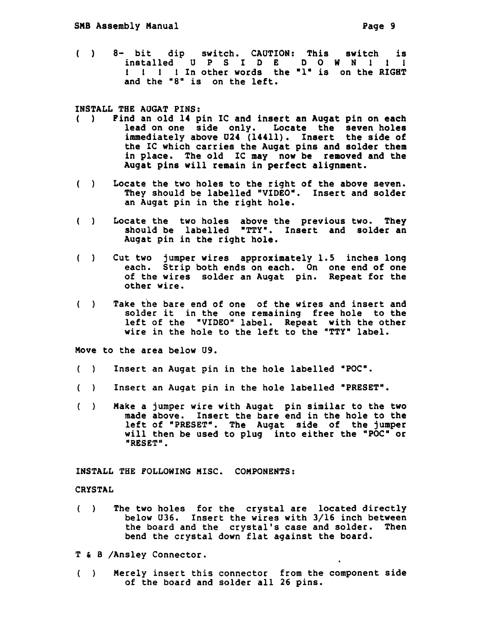8- bit dip switch. CAUTION: This switch is  $($ )  $($ installed u P S I D E D O W N 1 l l installed U P S I D E D O W N ! ! !<br>! ! ! ! In other words the "1" is on the RIGHT and the "8" is on the left.

INSTALL THE AOGAT PINS:

- ( ) Find an old 14 pin IC and insert an Augat pin on each lead on one side only. Locate the seven holes immediately above 024 (14411). Insert the side of the IC which carries the Augat pins and solder them in place. The old IC may now be removed and the Augat pins will remain in perfect alignment.
- Locate the two holes to the right of the above seven.  $($ ) They should be labelled "VIDEO". Insert and solder an Augat pin in the right hole.
- Locate the two holes above the previous two. They should be labelled •TTY•. Insert and solder an Augat pin in the right hole.
- $( )$ Cut two jumper wires approximately 1.5 inches long each. Strip both ends on each. On one end of one of the wires solder an Augat pin. Repeat for the other wire.
- $( )$ Take the bare end of one of the wires and insert and solder it in the one remaining free hole to the left of the "VIDEO" label. Repeat with the other wire in the hole to the left to the "TTY" label.

Move to the area below U9.

- $( )$ Insert an Augat pin in the hole labelled "POC".
- Insert an Augat pin in the hole labelled •PRESET".
- $( )$ Make a jumper wire with Augat pin similar to the two made above. Insert the bare end in the hole to the left of "PRESET". The Augat side of the jumper will then be used to plug into either the "POC" or "RESET".

INSTALL THE FOLLOWING MISC. COMPONENTS:

CRYSTAL

- The two holes for the crystal are located directly  $( )$ below U36. Insert the wires with 3/16 inch between the board and the crystal's case and solder. Then bend the crystal down flat against the board.
- T & B /Ansley Connector.
- Merely insert this connector from the component side  $( )$ of the board and solder all 26 pins.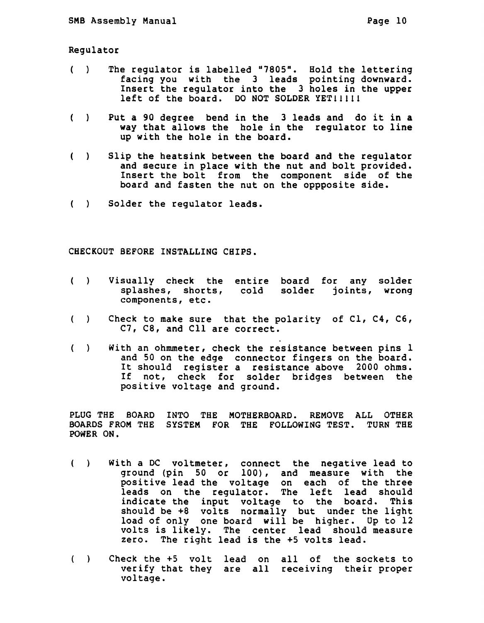Regulator

- $($ ) The regulator is labelled "7805". Hold the lettering facing you with the 3 leads pointing downward. Insert the regulator into the 3 holes in the upper left of the board. DO NOT SOLDER YET!!!!!
- $($   $)$ Put a 90 degree bend in the 3 leads and do it in a way that allows the hole in the regulator to line up with the hole in the board.
- $( )$ Slip the heatsink between the board and the regulator and secure in place with the nut and bolt provided. Insert the bolt from the component side of the board and fasten the nut on the oppposite side.
- ( ) Solder the regulator leads.

CHECKOUT BEFORE INSTALLING CHIPS.

- Visually check the entire board for any solder  $( )$ splashes, shorts, cold solder joints, wrong components, etc.
- $\begin{pmatrix} 1 & 1 \\ 1 & 1 \end{pmatrix}$ Check to make sure that the polarity of Cl, C4, C6, C7, C8, and Cll are correct.
- $( )$ With an ohmmeter, check the resistance between pins 1 and 50 on the edge connector fingers on the board. It should register a resistance above 2000 ohms. If not, check for solder bridges between the positive voltage and ground.

PLUG THE BOARD INTO THE MOTHERBOARD. REMOVE ALL OTHER BOARDS FROM THE SYSTEM FOR THE FOLLOWING TEST. TURN THE POwER ON.

- With a DC voltmeter, connect the negative lead to  $( )$ ground {pin 50 or 100), and measure with the positive lead the voltage on each of the three leads on the regulator. The left lead should indicate the input voltage to the board. This should be +8 volts normally but under the light load of only one board will be higher. Op to 12 volts is likely. The center lead should measure zero. The right lead is the +5 volts lead.
- Check the +5 volt lead on all of the sockets to  $( )$ verify that they are all receiving their proper voltage.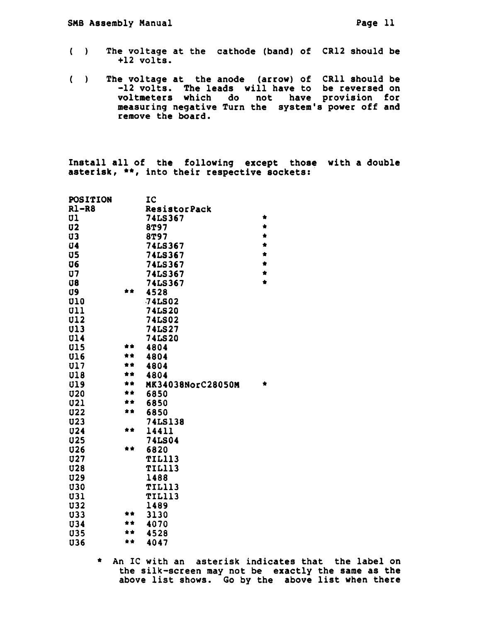- $( )$ The voltage at the cathode (band) of CR12 should be +12 volts.
- The voltage at the anode (arrow) of CRll should be  $\left( \begin{array}{c} \end{array} \right)$ -12 volts. The leads will have to be reversed on voltmeters which do not have provision for measuring negative Turn the system's power off and remove the board.

Install all of the following except those with a double asterisk, \*\*, into their respective sockets:

| POSITION       |     | IC                  |           |
|----------------|-----|---------------------|-----------|
| $R1 - R8$      |     | <b>ResistorPack</b> |           |
| U <sub>1</sub> |     | <b>74LS367</b>      | ŧ         |
| U <sub>2</sub> |     | 8T97                | *         |
| U3             |     | 8T97                | $\bullet$ |
| <b>U4</b>      |     | <b>74LS367</b>      | *         |
| $\overline{u}$ |     | <b>74LS367</b>      | $\bullet$ |
| U6             |     | <b>74LS367</b>      | *         |
| <b>U7</b>      |     | <b>74LS367</b>      | $\bullet$ |
| <b>U8</b>      |     | 74LS367             | ÷         |
| U9             | **  | 4528                |           |
| <b>U10</b>     |     | <b>74LS02</b>       |           |
| U11            |     | <b>74LS20</b>       |           |
| <b>U12</b>     |     | <b>74LS02</b>       |           |
| <b>U13</b>     |     | <b>74LS27</b>       |           |
| <b>U14</b>     |     | <b>74LS20</b>       |           |
| <b>U15</b>     | **  | 4804                |           |
| <b>U16</b>     |     | 4804                |           |
| <b>U17</b>     | * * | 4804                |           |
| <b>U18</b>     | **  | 4804                |           |
| <b>U19</b>     | **  | MK34038NorC28050M   | ٠         |
| U20            | **  | 6850                |           |
| <b>U21</b>     | **  | 6850                |           |
| <b>U22</b>     | **  | 6850                |           |
| <b>U23</b>     |     | <b>74LS138</b>      |           |
| <b>U24</b>     | **  | 14411               |           |
| <b>U25</b>     |     | <b>74LS04</b>       |           |
| <b>U26</b>     | **  | 6820                |           |
| <b>U27</b>     |     | <b>TIL113</b>       |           |
| <b>U28</b>     |     | <b>TIL113</b>       |           |
| <b>U29</b>     |     | 1488                |           |
| <b>U30</b>     |     | <b>TIL113</b>       |           |
| <b>U31</b>     |     | <b>TIL113</b>       |           |
| <b>U32</b>     |     | 1489                |           |
| <b>U33</b>     |     | 3130                |           |
| <b>U34</b>     | **  | 4070                |           |
| <b>U35</b>     | **  | 4528                |           |
| <b>U36</b>     | **  | 4047                |           |

\* An IC with an asterisk indicates that the label on the silk-screen may not be exactly the same as the above list shows. Go by the above list when there